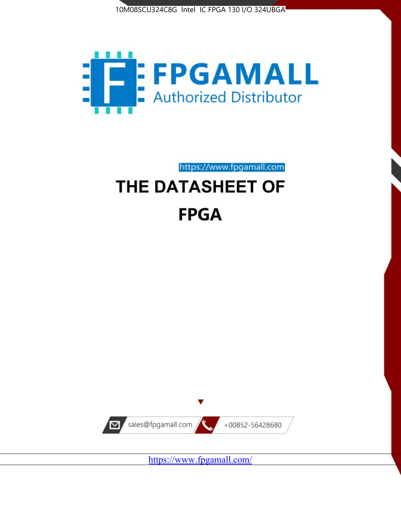



https://www.fpgamall.com THE DATASHEET OF

# **FPGA**



<https://www.fpgamall.com/>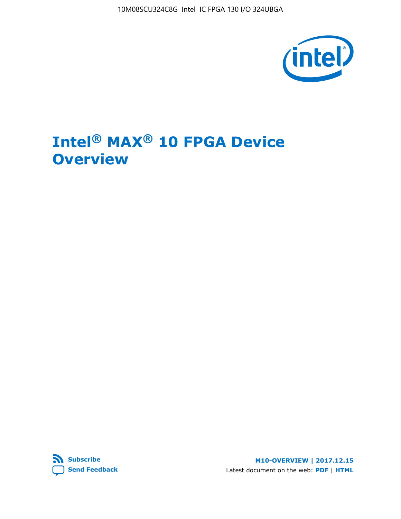10M08SCU324C8G Intel IC FPGA 130 I/O 324UBGA



# **Intel® MAX® 10 FPGA Device Overview**



**M10-OVERVIEW | 2017.12.15** Latest document on the web: **[PDF](https://www.altera.com/en_US/pdfs/literature/hb/max-10/m10_overview.pdf)** | **[HTML](https://www.altera.com/documentation/myt1396938463674.html)**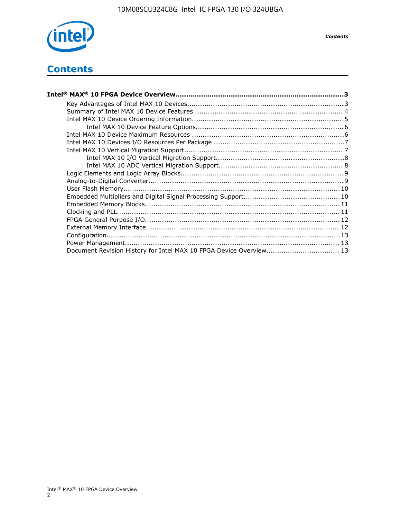

## **Contents**

| Intel® MAX® 10 FPGA Device Overview……………………………………………………………………………3  |  |
|--------------------------------------------------------------------|--|
|                                                                    |  |
|                                                                    |  |
|                                                                    |  |
|                                                                    |  |
|                                                                    |  |
|                                                                    |  |
|                                                                    |  |
|                                                                    |  |
|                                                                    |  |
|                                                                    |  |
|                                                                    |  |
|                                                                    |  |
|                                                                    |  |
|                                                                    |  |
|                                                                    |  |
|                                                                    |  |
|                                                                    |  |
|                                                                    |  |
|                                                                    |  |
| Document Revision History for Intel MAX 10 FPGA Device Overview 13 |  |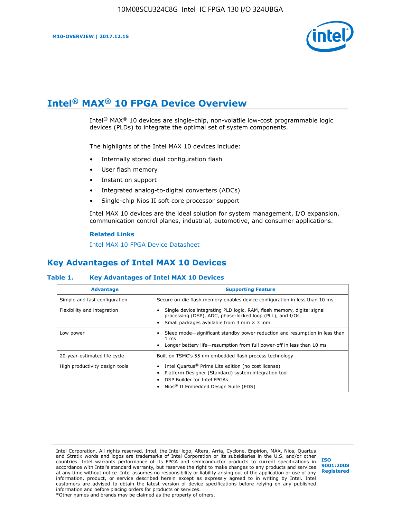

# **Intel® MAX® 10 FPGA Device Overview**

Intel® MAX® 10 devices are single-chip, non-volatile low-cost programmable logic devices (PLDs) to integrate the optimal set of system components.

The highlights of the Intel MAX 10 devices include:

- Internally stored dual configuration flash
- User flash memory
- Instant on support
- Integrated analog-to-digital converters (ADCs)
- Single-chip Nios II soft core processor support

Intel MAX 10 devices are the ideal solution for system management, I/O expansion, communication control planes, industrial, automotive, and consumer applications.

#### **Related Links**

[Intel MAX 10 FPGA Device Datasheet](https://www.altera.com/documentation/mcn1397700832153.html#mcn1397643748870)

## **Key Advantages of Intel MAX 10 Devices**

#### **Table 1. Key Advantages of Intel MAX 10 Devices**

| <b>Advantage</b>               | <b>Supporting Feature</b>                                                                                                                                                                                  |  |  |  |  |
|--------------------------------|------------------------------------------------------------------------------------------------------------------------------------------------------------------------------------------------------------|--|--|--|--|
| Simple and fast configuration  | Secure on-die flash memory enables device configuration in less than 10 ms                                                                                                                                 |  |  |  |  |
| Flexibility and integration    | Single device integrating PLD logic, RAM, flash memory, digital signal<br>processing (DSP), ADC, phase-locked loop (PLL), and I/Os<br>Small packages available from 3 mm $\times$ 3 mm                     |  |  |  |  |
| Low power                      | Sleep mode—significant standby power reduction and resumption in less than<br>$1 \text{ ms}$<br>Longer battery life—resumption from full power-off in less than 10 ms                                      |  |  |  |  |
| 20-year-estimated life cycle   | Built on TSMC's 55 nm embedded flash process technology                                                                                                                                                    |  |  |  |  |
| High productivity design tools | Intel Quartus <sup>®</sup> Prime Lite edition (no cost license)<br>Platform Designer (Standard) system integration tool<br>DSP Builder for Intel FPGAs<br>Nios <sup>®</sup> II Embedded Design Suite (EDS) |  |  |  |  |

Intel Corporation. All rights reserved. Intel, the Intel logo, Altera, Arria, Cyclone, Enpirion, MAX, Nios, Quartus and Stratix words and logos are trademarks of Intel Corporation or its subsidiaries in the U.S. and/or other countries. Intel warrants performance of its FPGA and semiconductor products to current specifications in accordance with Intel's standard warranty, but reserves the right to make changes to any products and services at any time without notice. Intel assumes no responsibility or liability arising out of the application or use of any information, product, or service described herein except as expressly agreed to in writing by Intel. Intel customers are advised to obtain the latest version of device specifications before relying on any published information and before placing orders for products or services. \*Other names and brands may be claimed as the property of others.

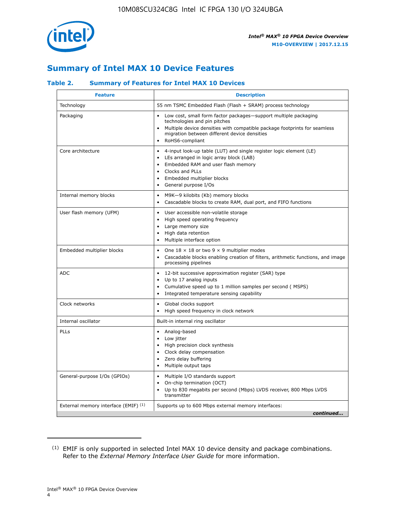

## **Summary of Intel MAX 10 Device Features**

#### **Table 2. Summary of Features for Intel MAX 10 Devices**

| <b>Feature</b>                       | <b>Description</b>                                                                                                                                                                                                                                                                                         |
|--------------------------------------|------------------------------------------------------------------------------------------------------------------------------------------------------------------------------------------------------------------------------------------------------------------------------------------------------------|
| Technology                           | 55 nm TSMC Embedded Flash (Flash + SRAM) process technology                                                                                                                                                                                                                                                |
| Packaging                            | Low cost, small form factor packages-support multiple packaging<br>technologies and pin pitches<br>Multiple device densities with compatible package footprints for seamless<br>migration between different device densities<br>RoHS6-compliant                                                            |
| Core architecture                    | 4-input look-up table (LUT) and single register logic element (LE)<br>$\bullet$<br>LEs arranged in logic array block (LAB)<br>$\bullet$<br>Embedded RAM and user flash memory<br>$\bullet$<br>Clocks and PLLs<br>$\bullet$<br>Embedded multiplier blocks<br>$\bullet$<br>General purpose I/Os<br>$\bullet$ |
| Internal memory blocks               | M9K-9 kilobits (Kb) memory blocks<br>$\bullet$<br>Cascadable blocks to create RAM, dual port, and FIFO functions<br>$\bullet$                                                                                                                                                                              |
| User flash memory (UFM)              | User accessible non-volatile storage<br>$\bullet$<br>High speed operating frequency<br>$\bullet$<br>Large memory size<br>High data retention<br>$\bullet$<br>Multiple interface option                                                                                                                     |
| Embedded multiplier blocks           | One $18 \times 18$ or two 9 $\times$ 9 multiplier modes<br>$\bullet$<br>Cascadable blocks enabling creation of filters, arithmetic functions, and image<br>processing pipelines                                                                                                                            |
| <b>ADC</b>                           | 12-bit successive approximation register (SAR) type<br>$\bullet$<br>Up to 17 analog inputs<br>$\bullet$<br>Cumulative speed up to 1 million samples per second (MSPS)<br>Integrated temperature sensing capability<br>$\bullet$                                                                            |
| Clock networks                       | Global clocks support<br>$\bullet$<br>High speed frequency in clock network                                                                                                                                                                                                                                |
| Internal oscillator                  | Built-in internal ring oscillator                                                                                                                                                                                                                                                                          |
| PLLs                                 | • Analog-based<br>Low jitter<br>$\bullet$<br>High precision clock synthesis<br>$\bullet$<br>Clock delay compensation<br>$\bullet$<br>Zero delay buffering<br>$\bullet$<br>Multiple output taps<br>$\bullet$                                                                                                |
| General-purpose I/Os (GPIOs)         | • Multiple I/O standards support<br>On-chip termination (OCT)<br>$\bullet$<br>Up to 830 megabits per second (Mbps) LVDS receiver, 800 Mbps LVDS<br>transmitter                                                                                                                                             |
| External memory interface (EMIF) (1) | Supports up to 600 Mbps external memory interfaces:<br>continued                                                                                                                                                                                                                                           |

<sup>(1)</sup> EMIF is only supported in selected Intel MAX 10 device density and package combinations. Refer to the *External Memory Interface User Guide* for more information.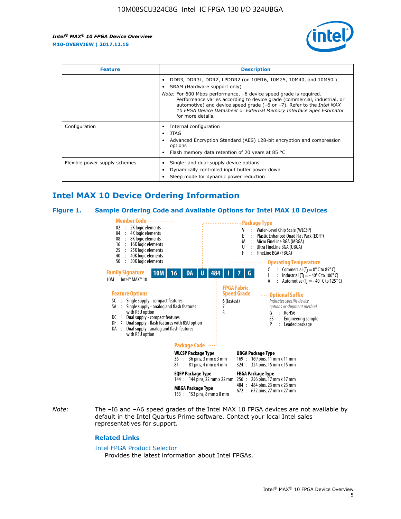

| <b>Feature</b>                | <b>Description</b>                                                                                                                                                                                                                                                                                                                                                                                                          |  |  |  |
|-------------------------------|-----------------------------------------------------------------------------------------------------------------------------------------------------------------------------------------------------------------------------------------------------------------------------------------------------------------------------------------------------------------------------------------------------------------------------|--|--|--|
|                               | DDR3, DDR3L, DDR2, LPDDR2 (on 10M16, 10M25, 10M40, and 10M50.)<br>SRAM (Hardware support only)<br><i>Note:</i> For 600 Mbps performance, -6 device speed grade is required.<br>Performance varies according to device grade (commercial, industrial, or<br>automotive) and device speed grade $(-6 \text{ or } -7)$ . Refer to the <i>Intel MAX</i><br>10 FPGA Device Datasheet or External Memory Interface Spec Estimator |  |  |  |
|                               | for more details.                                                                                                                                                                                                                                                                                                                                                                                                           |  |  |  |
| Configuration                 | Internal configuration<br>JTAG<br>٠<br>Advanced Encryption Standard (AES) 128-bit encryption and compression<br>options<br>Flash memory data retention of 20 years at 85 $^{\circ}$ C                                                                                                                                                                                                                                       |  |  |  |
| Flexible power supply schemes | Single- and dual-supply device options<br>Dynamically controlled input buffer power down<br>Sleep mode for dynamic power reduction                                                                                                                                                                                                                                                                                          |  |  |  |

## **Intel MAX 10 Device Ordering Information**

#### **Figure 1. Sample Ordering Code and Available Options for Intel MAX 10 Devices**



*Note:* The –I6 and –A6 speed grades of the Intel MAX 10 FPGA devices are not available by default in the Intel Quartus Prime software. Contact your local Intel sales representatives for support.

#### **Related Links**

#### [Intel FPGA Product Selector](http://www.altera.com/products/selector/psg-selector.html)

Provides the latest information about Intel FPGAs.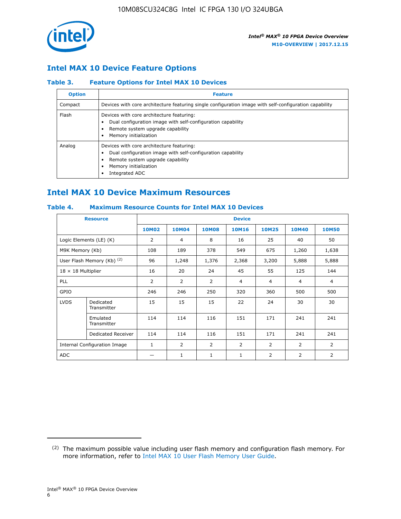

## **Intel MAX 10 Device Feature Options**

#### **Table 3. Feature Options for Intel MAX 10 Devices**

| <b>Option</b> | <b>Feature</b>                                                                                                                                                                          |
|---------------|-----------------------------------------------------------------------------------------------------------------------------------------------------------------------------------------|
| Compact       | Devices with core architecture featuring single configuration image with self-configuration capability                                                                                  |
| Flash         | Devices with core architecture featuring:<br>Dual configuration image with self-configuration capability<br>Remote system upgrade capability<br>Memory initialization                   |
| Analog        | Devices with core architecture featuring:<br>Dual configuration image with self-configuration capability<br>Remote system upgrade capability<br>Memory initialization<br>Integrated ADC |

## **Intel MAX 10 Device Maximum Resources**

#### **Table 4. Maximum Resource Counts for Intel MAX 10 Devices**

|                           | <b>Resource</b>              |              |                |              | <b>Device</b>  |                |              |                |
|---------------------------|------------------------------|--------------|----------------|--------------|----------------|----------------|--------------|----------------|
|                           |                              | <b>10M02</b> | 10M04          | <b>10M08</b> | <b>10M16</b>   | <b>10M25</b>   | <b>10M40</b> | <b>10M50</b>   |
|                           | Logic Elements (LE) (K)      | 2            | 4              | 8            | 16             | 25             | 40           | 50             |
| M9K Memory (Kb)           |                              | 108          | 189            | 378          | 549            | 675            | 1,260        | 1,638          |
|                           | User Flash Memory (Kb) (2)   | 96           | 1,248          | 1,376        | 2,368          | 3,200          | 5,888        | 5,888          |
| $18 \times 18$ Multiplier |                              | 16           | 20             | 24           | 45             | 55             | 125          | 144            |
| <b>PLL</b>                |                              | 2            | $\overline{2}$ | 2            | $\overline{4}$ | $\overline{4}$ | 4            | $\overline{4}$ |
| GPIO                      |                              | 246          | 246            | 250          | 320            | 360            | 500          | 500            |
| <b>LVDS</b>               | Dedicated<br>Transmitter     | 15           | 15             | 15           | 22             | 24             | 30           | 30             |
|                           | Emulated<br>Transmitter      | 114          | 114            | 116          | 151            | 171            | 241          | 241            |
|                           | Dedicated Receiver           | 114          | 114            | 116          | 151            | 171            | 241          | 241            |
|                           | Internal Configuration Image | $\mathbf{1}$ | $\overline{2}$ | 2            | $\overline{2}$ | $\overline{2}$ | 2            | $\overline{2}$ |
| ADC                       |                              |              | 1              | $\mathbf{1}$ | $\mathbf{1}$   | 2              | 2            | 2              |

<sup>(2)</sup> The maximum possible value including user flash memory and configuration flash memory. For more information, refer to [Intel MAX 10 User Flash Memory User Guide](https://www.altera.com/documentation/vgo1395753117436.html#vgo1395811844282).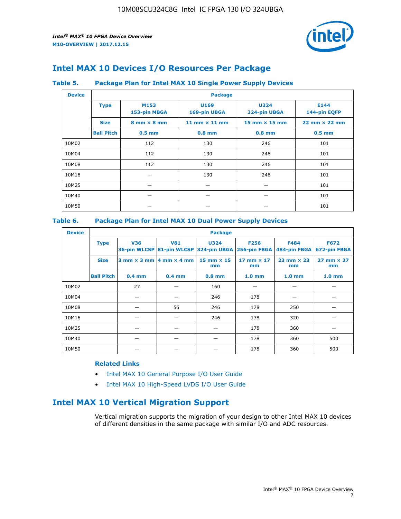

## **Intel MAX 10 Devices I/O Resources Per Package**

#### **Table 5. Package Plan for Intel MAX 10 Single Power Supply Devices**

| <b>Device</b> |                   | <b>Package</b>                     |                      |                             |                                      |  |  |  |
|---------------|-------------------|------------------------------------|----------------------|-----------------------------|--------------------------------------|--|--|--|
|               | <b>Type</b>       | M153<br>153-pin MBGA               | U169<br>169-pin UBGA | <b>U324</b><br>324-pin UBGA | E144<br>144-pin EQFP                 |  |  |  |
|               | <b>Size</b>       | $8 \text{ mm} \times 8 \text{ mm}$ | 11 mm $\times$ 11 mm | 15 mm $\times$ 15 mm        | $22 \text{ mm} \times 22 \text{ mm}$ |  |  |  |
|               | <b>Ball Pitch</b> | $0.5$ mm                           | $0.8$ mm             | $0.8$ mm                    | $0.5$ mm                             |  |  |  |
| 10M02         |                   | 112                                | 130                  | 246                         | 101                                  |  |  |  |
| 10M04         |                   | 112                                | 130                  | 246                         | 101                                  |  |  |  |
| 10M08         |                   | 112                                | 130                  | 246                         | 101                                  |  |  |  |
| 10M16         |                   |                                    | 130                  | 246                         | 101                                  |  |  |  |
| 10M25         |                   |                                    |                      |                             | 101                                  |  |  |  |
| 10M40         |                   |                                    |                      |                             | 101                                  |  |  |  |
| 10M50         |                   |                                    |                      |                             | 101                                  |  |  |  |

#### **Table 6. Package Plan for Intel MAX 10 Dual Power Supply Devices**

| <b>Device</b> |                   | <b>Package</b> |                                                |                                                                    |                           |                             |                             |  |  |
|---------------|-------------------|----------------|------------------------------------------------|--------------------------------------------------------------------|---------------------------|-----------------------------|-----------------------------|--|--|
|               | <b>Type</b>       | <b>V36</b>     | <b>V81</b>                                     | <b>U324</b><br>36-pin WLCSP 81-pin WLCSP 324-pin UBGA 256-pin FBGA | <b>F256</b>               | <b>F484</b><br>484-pin FBGA | <b>F672</b><br>672-pin FBGA |  |  |
|               | <b>Size</b>       |                | $3$ mm $\times$ 3 mm $ 4$ mm $\times$ 4 mm $ $ | $15$ mm $\times$ 15<br>mm                                          | $17$ mm $\times$ 17<br>mm | $23$ mm $\times$ 23<br>mm   | $27$ mm $\times$ 27<br>mm   |  |  |
|               | <b>Ball Pitch</b> | $0.4$ mm       | $0.4$ mm                                       | $0.8$ mm                                                           | 1.0 <sub>mm</sub>         | 1.0 <sub>mm</sub>           | 1.0 <sub>mm</sub>           |  |  |
| 10M02         |                   | 27             |                                                | 160                                                                |                           |                             |                             |  |  |
| 10M04         |                   |                |                                                | 246                                                                | 178                       |                             |                             |  |  |
| 10M08         |                   |                | 56                                             | 246                                                                | 178                       | 250                         |                             |  |  |
| 10M16         |                   |                |                                                | 246                                                                | 178                       | 320                         |                             |  |  |
| 10M25         |                   |                |                                                |                                                                    | 178                       | 360                         |                             |  |  |
| 10M40         |                   |                |                                                |                                                                    | 178                       | 360                         | 500                         |  |  |
| 10M50         |                   |                |                                                |                                                                    | 178                       | 360                         | 500                         |  |  |

#### **Related Links**

- [Intel MAX 10 General Purpose I/O User Guide](https://www.altera.com/documentation/sam1393999966669.html#sam1394000084476)
- [Intel MAX 10 High-Speed LVDS I/O User Guide](https://www.altera.com/documentation/sam1394433606063.html#sam1394433911642)

## **Intel MAX 10 Vertical Migration Support**

Vertical migration supports the migration of your design to other Intel MAX 10 devices of different densities in the same package with similar I/O and ADC resources.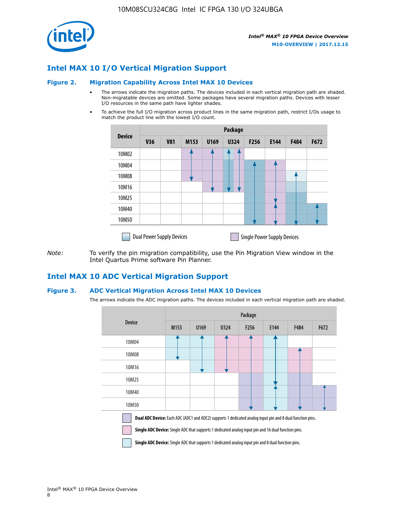

## **Intel MAX 10 I/O Vertical Migration Support**

#### **Figure 2. Migration Capability Across Intel MAX 10 Devices**

- The arrows indicate the migration paths. The devices included in each vertical migration path are shaded. Non-migratable devices are omitted. Some packages have several migration paths. Devices with lesser I/O resources in the same path have lighter shades.
- To achieve the full I/O migration across product lines in the same migration path, restrict I/Os usage to match the product line with the lowest I/O count.

|               | <b>Package</b>                   |            |      |      |             |      |                                    |      |      |
|---------------|----------------------------------|------------|------|------|-------------|------|------------------------------------|------|------|
| <b>Device</b> | <b>V36</b>                       | <b>V81</b> | M153 | U169 | <b>U324</b> | F256 | E144                               | F484 | F672 |
| 10M02         |                                  |            |      |      | 7           |      |                                    |      |      |
| 10M04         |                                  |            |      |      |             |      |                                    |      |      |
| 10M08         |                                  |            |      |      |             |      |                                    |      |      |
| 10M16         |                                  |            |      |      |             |      |                                    |      |      |
| 10M25         |                                  |            |      |      |             |      |                                    |      |      |
| 10M40         |                                  |            |      |      |             |      |                                    |      |      |
| 10M50         |                                  |            |      |      |             |      |                                    |      |      |
|               | <b>Dual Power Supply Devices</b> |            |      |      |             |      | <b>Single Power Supply Devices</b> |      |      |

*Note:* To verify the pin migration compatibility, use the Pin Migration View window in the Intel Quartus Prime software Pin Planner.

## **Intel MAX 10 ADC Vertical Migration Support**

#### **Figure 3. ADC Vertical Migration Across Intel MAX 10 Devices**

The arrows indicate the ADC migration paths. The devices included in each vertical migration path are shaded.

|                                                                                                                                                                                                                         | Package |      |      |                  |      |      |      |  |  |
|-------------------------------------------------------------------------------------------------------------------------------------------------------------------------------------------------------------------------|---------|------|------|------------------|------|------|------|--|--|
| <b>Device</b>                                                                                                                                                                                                           | M153    | U169 | U324 | F <sub>256</sub> | E144 | F484 | F672 |  |  |
| 10M04                                                                                                                                                                                                                   |         |      |      |                  |      |      |      |  |  |
| 10M08                                                                                                                                                                                                                   |         |      |      |                  |      |      |      |  |  |
| 10M16                                                                                                                                                                                                                   |         |      |      |                  |      |      |      |  |  |
| 10M25                                                                                                                                                                                                                   |         |      |      |                  |      |      |      |  |  |
| 10M40                                                                                                                                                                                                                   |         |      |      |                  |      |      |      |  |  |
| 10M50                                                                                                                                                                                                                   |         |      |      |                  |      |      |      |  |  |
| Dual ADC Device: Each ADC (ADC1 and ADC2) supports 1 dedicated analog input pin and 8 dual function pins.<br><b>Single ADC Device:</b> Single ADC that supports 1 dedicated analog input pin and 16 dual function pins. |         |      |      |                  |      |      |      |  |  |

**Single ADC Device:** Single ADC that supports 1 dedicated analog input pin and 8 dual function pins.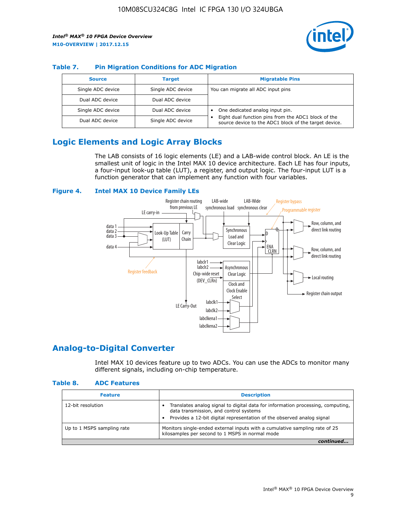

#### **Table 7. Pin Migration Conditions for ADC Migration**

| <b>Source</b>     | <b>Target</b>     | <b>Migratable Pins</b>                                                                                            |
|-------------------|-------------------|-------------------------------------------------------------------------------------------------------------------|
| Single ADC device | Single ADC device | You can migrate all ADC input pins                                                                                |
| Dual ADC device   | Dual ADC device   |                                                                                                                   |
| Single ADC device | Dual ADC device   | One dedicated analog input pin.                                                                                   |
| Dual ADC device   | Single ADC device | Eight dual function pins from the ADC1 block of the<br>٠<br>source device to the ADC1 block of the target device. |

## **Logic Elements and Logic Array Blocks**

The LAB consists of 16 logic elements (LE) and a LAB-wide control block. An LE is the smallest unit of logic in the Intel MAX 10 device architecture. Each LE has four inputs, a four-input look-up table (LUT), a register, and output logic. The four-input LUT is a function generator that can implement any function with four variables.

#### **Figure 4. Intel MAX 10 Device Family LEs**



## **Analog-to-Digital Converter**

Intel MAX 10 devices feature up to two ADCs. You can use the ADCs to monitor many different signals, including on-chip temperature.

#### **Table 8. ADC Features**

| <b>Feature</b>             | <b>Description</b>                                                                                                                                                                                  |
|----------------------------|-----------------------------------------------------------------------------------------------------------------------------------------------------------------------------------------------------|
| 12-bit resolution          | Translates analog signal to digital data for information processing, computing,<br>data transmission, and control systems<br>Provides a 12-bit digital representation of the observed analog signal |
| Up to 1 MSPS sampling rate | Monitors single-ended external inputs with a cumulative sampling rate of 25<br>kilosamples per second to 1 MSPS in normal mode                                                                      |
|                            |                                                                                                                                                                                                     |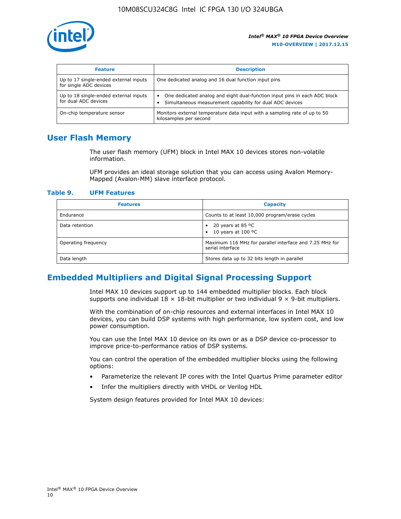

| <b>Feature</b>                                                  | <b>Description</b>                                                                                                                         |
|-----------------------------------------------------------------|--------------------------------------------------------------------------------------------------------------------------------------------|
| Up to 17 single-ended external inputs<br>for single ADC devices | One dedicated analog and 16 dual function input pins                                                                                       |
| Up to 18 single-ended external inputs<br>for dual ADC devices   | One dedicated analog and eight dual-function input pins in each ADC block<br>٠<br>Simultaneous measurement capability for dual ADC devices |
| On-chip temperature sensor                                      | Monitors external temperature data input with a sampling rate of up to 50<br>kilosamples per second                                        |

## **User Flash Memory**

The user flash memory (UFM) block in Intel MAX 10 devices stores non-volatile information.

UFM provides an ideal storage solution that you can access using Avalon Memory-Mapped (Avalon-MM) slave interface protocol.

#### **Table 9. UFM Features**

| <b>Features</b>     | <b>Capacity</b>                                                             |
|---------------------|-----------------------------------------------------------------------------|
| Endurance           | Counts to at least 10,000 program/erase cycles                              |
| Data retention      | 20 years at 85 $^{\circ}$ C<br>٠<br>10 years at 100 °C<br>$\bullet$         |
| Operating frequency | Maximum 116 MHz for parallel interface and 7.25 MHz for<br>serial interface |
| Data length         | Stores data up to 32 bits length in parallel                                |

## **Embedded Multipliers and Digital Signal Processing Support**

Intel MAX 10 devices support up to 144 embedded multiplier blocks. Each block supports one individual  $18 \times 18$ -bit multiplier or two individual  $9 \times 9$ -bit multipliers.

With the combination of on-chip resources and external interfaces in Intel MAX 10 devices, you can build DSP systems with high performance, low system cost, and low power consumption.

You can use the Intel MAX 10 device on its own or as a DSP device co-processor to improve price-to-performance ratios of DSP systems.

You can control the operation of the embedded multiplier blocks using the following options:

- Parameterize the relevant IP cores with the Intel Quartus Prime parameter editor
- Infer the multipliers directly with VHDL or Verilog HDL

System design features provided for Intel MAX 10 devices: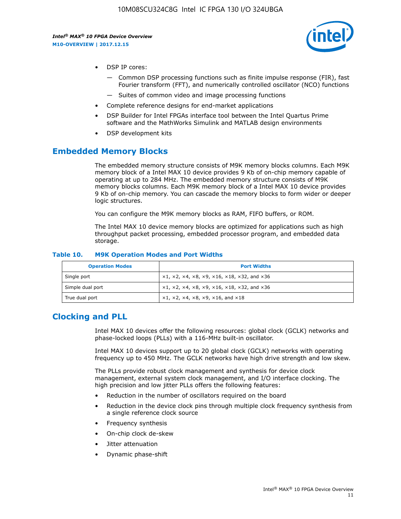

- DSP IP cores:
	- Common DSP processing functions such as finite impulse response (FIR), fast Fourier transform (FFT), and numerically controlled oscillator (NCO) functions
	- Suites of common video and image processing functions
- Complete reference designs for end-market applications
- DSP Builder for Intel FPGAs interface tool between the Intel Quartus Prime software and the MathWorks Simulink and MATLAB design environments
- DSP development kits

## **Embedded Memory Blocks**

The embedded memory structure consists of M9K memory blocks columns. Each M9K memory block of a Intel MAX 10 device provides 9 Kb of on-chip memory capable of operating at up to 284 MHz. The embedded memory structure consists of M9K memory blocks columns. Each M9K memory block of a Intel MAX 10 device provides 9 Kb of on-chip memory. You can cascade the memory blocks to form wider or deeper logic structures.

You can configure the M9K memory blocks as RAM, FIFO buffers, or ROM.

The Intel MAX 10 device memory blocks are optimized for applications such as high throughput packet processing, embedded processor program, and embedded data storage.

| <b>Operation Modes</b> | <b>Port Widths</b>                                                            |
|------------------------|-------------------------------------------------------------------------------|
| Single port            | $x1, x2, x4, x8, x9, x16, x18, x32, and x36$                                  |
| Simple dual port       | $x1, x2, x4, x8, x9, x16, x18, x32, and x36$                                  |
| True dual port         | $\times1, \times2, \times4, \times8, \times9, \times16, \text{and } \times18$ |

#### **Table 10. M9K Operation Modes and Port Widths**

## **Clocking and PLL**

Intel MAX 10 devices offer the following resources: global clock (GCLK) networks and phase-locked loops (PLLs) with a 116-MHz built-in oscillator.

Intel MAX 10 devices support up to 20 global clock (GCLK) networks with operating frequency up to 450 MHz. The GCLK networks have high drive strength and low skew.

The PLLs provide robust clock management and synthesis for device clock management, external system clock management, and I/O interface clocking. The high precision and low jitter PLLs offers the following features:

- Reduction in the number of oscillators required on the board
- Reduction in the device clock pins through multiple clock frequency synthesis from a single reference clock source
- Frequency synthesis
- On-chip clock de-skew
- Jitter attenuation
- Dynamic phase-shift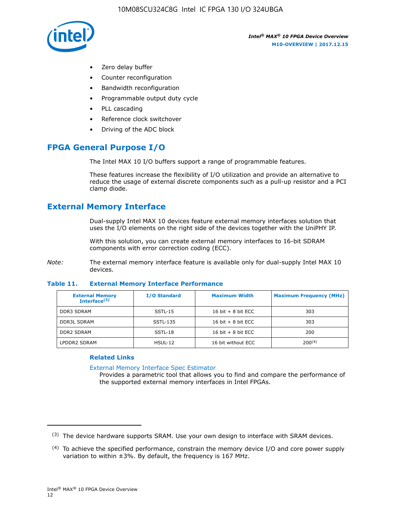

- Zero delay buffer
- Counter reconfiguration
- Bandwidth reconfiguration
- Programmable output duty cycle
- PLL cascading
- Reference clock switchover
- Driving of the ADC block

## **FPGA General Purpose I/O**

The Intel MAX 10 I/O buffers support a range of programmable features.

These features increase the flexibility of I/O utilization and provide an alternative to reduce the usage of external discrete components such as a pull-up resistor and a PCI clamp diode.

## **External Memory Interface**

Dual-supply Intel MAX 10 devices feature external memory interfaces solution that uses the I/O elements on the right side of the devices together with the UniPHY IP.

With this solution, you can create external memory interfaces to 16-bit SDRAM components with error correction coding (ECC).

*Note:* The external memory interface feature is available only for dual-supply Intel MAX 10 devices.

#### **Table 11. External Memory Interface Performance**

| <b>External Memory</b><br>Interface $(3)$ | <b>I/O Standard</b> | <b>Maximum Width</b> | <b>Maximum Frequency (MHz)</b> |
|-------------------------------------------|---------------------|----------------------|--------------------------------|
| <b>DDR3 SDRAM</b>                         | SSTL-15             | 16 bit $+8$ bit ECC  | 303                            |
| <b>DDR3L SDRAM</b>                        | SSTL-135            | 16 bit $+8$ bit ECC  | 303                            |
| <b>DDR2 SDRAM</b>                         | SSTL-18             | 16 bit $+8$ bit ECC  | 200                            |
| LPDDR2 SDRAM                              | $HSUL-12$           | 16 bit without ECC   | 200(4)                         |

#### **Related Links**

[External Memory Interface Spec Estimator](http://www.altera.com/technology/memory/estimator/mem-emif-index.html)

Provides a parametric tool that allows you to find and compare the performance of the supported external memory interfaces in Intel FPGAs.

 $(3)$  The device hardware supports SRAM. Use your own design to interface with SRAM devices.

 $(4)$  To achieve the specified performance, constrain the memory device I/O and core power supply variation to within ±3%. By default, the frequency is 167 MHz.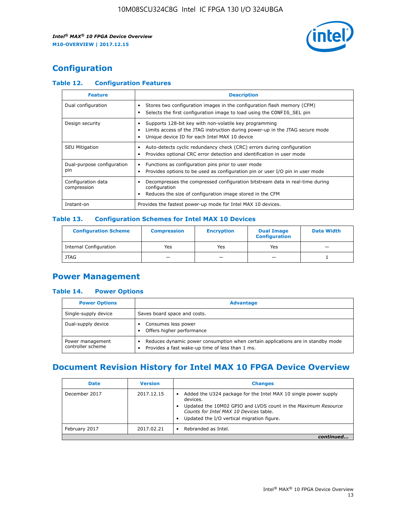

## **Configuration**

#### **Table 12. Configuration Features**

| <b>Feature</b>                    | <b>Description</b>                                                                                                                                                                       |
|-----------------------------------|------------------------------------------------------------------------------------------------------------------------------------------------------------------------------------------|
| Dual configuration                | Stores two configuration images in the configuration flash memory (CFM)<br>Selects the first configuration image to load using the CONFIG SEL pin                                        |
| Design security                   | Supports 128-bit key with non-volatile key programming<br>Limits access of the JTAG instruction during power-up in the JTAG secure mode<br>Unique device ID for each Intel MAX 10 device |
| <b>SEU Mitigation</b>             | Auto-detects cyclic redundancy check (CRC) errors during configuration<br>Provides optional CRC error detection and identification in user mode                                          |
| Dual-purpose configuration<br>pin | Functions as configuration pins prior to user mode<br>$\bullet$<br>Provides options to be used as configuration pin or user I/O pin in user mode                                         |
| Configuration data<br>compression | Decompresses the compressed configuration bitstream data in real-time during<br>configuration<br>Reduces the size of configuration image stored in the CFM                               |
| Instant-on                        | Provides the fastest power-up mode for Intel MAX 10 devices.                                                                                                                             |

#### **Table 13. Configuration Schemes for Intel MAX 10 Devices**

| <b>Configuration Scheme</b>   | <b>Compression</b>       | <b>Encryption</b> | <b>Dual Image</b><br><b>Configuration</b> | <b>Data Width</b> |
|-------------------------------|--------------------------|-------------------|-------------------------------------------|-------------------|
| <b>Internal Configuration</b> | Yes                      | Yes               | Yes                                       |                   |
| <b>JTAG</b>                   | $\overline{\phantom{a}}$ |                   | -                                         |                   |

## **Power Management**

#### **Table 14. Power Options**

| <b>Power Options</b>                  | <b>Advantage</b>                                                                                                                        |  |
|---------------------------------------|-----------------------------------------------------------------------------------------------------------------------------------------|--|
| Single-supply device                  | Saves board space and costs.                                                                                                            |  |
| Dual-supply device                    | Consumes less power<br>Offers higher performance<br>$\bullet$                                                                           |  |
| Power management<br>controller scheme | Reduces dynamic power consumption when certain applications are in standby mode<br>Provides a fast wake-up time of less than 1 ms.<br>٠ |  |

## **Document Revision History for Intel MAX 10 FPGA Device Overview**

| <b>Date</b>   | <b>Version</b> | <b>Changes</b>                                                                                                                                                                                                                       |
|---------------|----------------|--------------------------------------------------------------------------------------------------------------------------------------------------------------------------------------------------------------------------------------|
| December 2017 | 2017.12.15     | Added the U324 package for the Intel MAX 10 single power supply<br>devices.<br>Updated the 10M02 GPIO and LVDS count in the Maximum Resource<br>Counts for Intel MAX 10 Devices table.<br>Updated the I/O vertical migration figure. |
| February 2017 | 2017.02.21     | Rebranded as Intel.                                                                                                                                                                                                                  |
|               |                |                                                                                                                                                                                                                                      |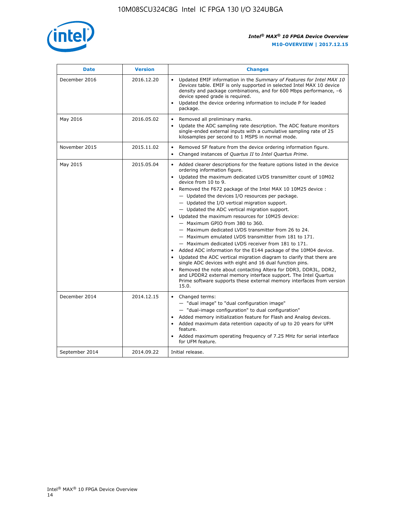

| <b>Date</b>    | <b>Version</b> | <b>Changes</b>                                                                                                                                                                                                                                                                                                                                                                                                                                                                                                                                                                                                                                                                                                                                                                                                                                                                                                                                                                                                                                                                                                                                           |  |
|----------------|----------------|----------------------------------------------------------------------------------------------------------------------------------------------------------------------------------------------------------------------------------------------------------------------------------------------------------------------------------------------------------------------------------------------------------------------------------------------------------------------------------------------------------------------------------------------------------------------------------------------------------------------------------------------------------------------------------------------------------------------------------------------------------------------------------------------------------------------------------------------------------------------------------------------------------------------------------------------------------------------------------------------------------------------------------------------------------------------------------------------------------------------------------------------------------|--|
| December 2016  | 2016.12.20     | • Updated EMIF information in the Summary of Features for Intel MAX 10<br>Devices table. EMIF is only supported in selected Intel MAX 10 device<br>density and package combinations, and for 600 Mbps performance, -6<br>device speed grade is required.<br>Updated the device ordering information to include P for leaded<br>package.                                                                                                                                                                                                                                                                                                                                                                                                                                                                                                                                                                                                                                                                                                                                                                                                                  |  |
| May 2016       | 2016.05.02     | Removed all preliminary marks.<br>Update the ADC sampling rate description. The ADC feature monitors<br>$\bullet$<br>single-ended external inputs with a cumulative sampling rate of 25<br>kilosamples per second to 1 MSPS in normal mode.                                                                                                                                                                                                                                                                                                                                                                                                                                                                                                                                                                                                                                                                                                                                                                                                                                                                                                              |  |
| November 2015  | 2015.11.02     | Removed SF feature from the device ordering information figure.<br>$\bullet$<br>Changed instances of Quartus II to Intel Quartus Prime.<br>$\bullet$                                                                                                                                                                                                                                                                                                                                                                                                                                                                                                                                                                                                                                                                                                                                                                                                                                                                                                                                                                                                     |  |
| May 2015       | 2015.05.04     | Added clearer descriptions for the feature options listed in the device<br>$\bullet$<br>ordering information figure.<br>Updated the maximum dedicated LVDS transmitter count of 10M02<br>$\bullet$<br>device from 10 to 9.<br>Removed the F672 package of the Intel MAX 10 10M25 device :<br>- Updated the devices I/O resources per package.<br>$-$ Updated the I/O vertical migration support.<br>- Updated the ADC vertical migration support.<br>Updated the maximum resources for 10M25 device:<br>- Maximum GPIO from 380 to 360.<br>- Maximum dedicated LVDS transmitter from 26 to 24.<br>- Maximum emulated LVDS transmitter from 181 to 171.<br>- Maximum dedicated LVDS receiver from 181 to 171.<br>Added ADC information for the E144 package of the 10M04 device.<br>$\bullet$<br>Updated the ADC vertical migration diagram to clarify that there are<br>single ADC devices with eight and 16 dual function pins.<br>Removed the note about contacting Altera for DDR3, DDR3L, DDR2,<br>and LPDDR2 external memory interface support. The Intel Quartus<br>Prime software supports these external memory interfaces from version<br>15.0. |  |
| December 2014  | 2014.12.15     | $\bullet$<br>Changed terms:<br>- "dual image" to "dual configuration image"<br>- "dual-image configuration" to dual configuration"<br>Added memory initialization feature for Flash and Analog devices.<br>$\bullet$<br>Added maximum data retention capacity of up to 20 years for UFM<br>$\bullet$<br>feature.<br>Added maximum operating frequency of 7.25 MHz for serial interface<br>for UFM feature.                                                                                                                                                                                                                                                                                                                                                                                                                                                                                                                                                                                                                                                                                                                                               |  |
| September 2014 | 2014.09.22     | Initial release.                                                                                                                                                                                                                                                                                                                                                                                                                                                                                                                                                                                                                                                                                                                                                                                                                                                                                                                                                                                                                                                                                                                                         |  |